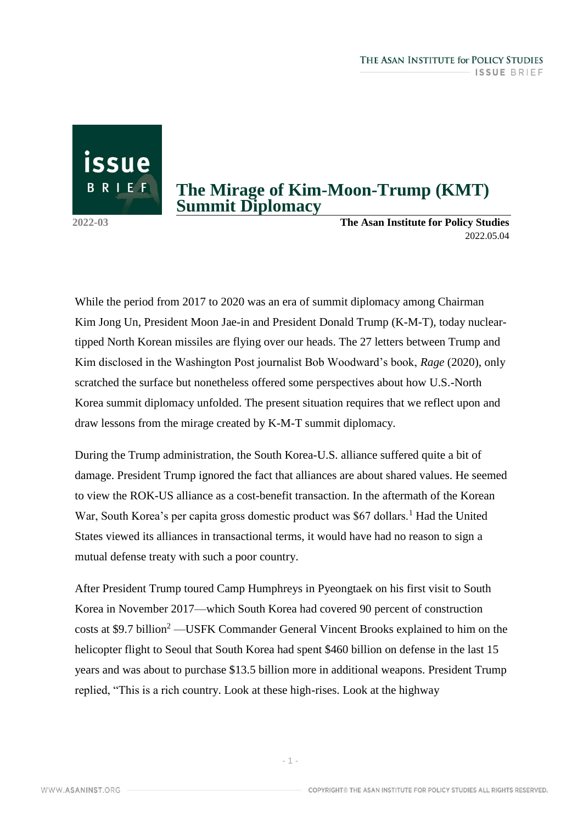## **The Mirage of Kim-Moon-Trump (KMT) Summit Diplomacy**

issue

BRIEF

**2022-03 The Asan Institute for Policy Studies** 2022.05.04

While the period from 2017 to 2020 was an era of summit diplomacy among Chairman Kim Jong Un, President Moon Jae-in and President Donald Trump (K-M-T), today nucleartipped North Korean missiles are flying over our heads. The 27 letters between Trump and Kim disclosed in the Washington Post journalist Bob Woodward's book, *Rage* (2020), only scratched the surface but nonetheless offered some perspectives about how U.S.-North Korea summit diplomacy unfolded. The present situation requires that we reflect upon and draw lessons from the mirage created by K-M-T summit diplomacy.

During the Trump administration, the South Korea-U.S. alliance suffered quite a bit of damage. President Trump ignored the fact that alliances are about shared values. He seemed to view the ROK-US alliance as a cost-benefit transaction. In the aftermath of the Korean War, South Korea's per capita gross domestic product was  $$67$  dollars.<sup>1</sup> Had the United States viewed its alliances in transactional terms, it would have had no reason to sign a mutual defense treaty with such a poor country.

After President Trump toured Camp Humphreys in Pyeongtaek on his first visit to South Korea in November 2017—which South Korea had covered 90 percent of construction costs at \$9.7 billion<sup>2</sup> —USFK Commander General Vincent Brooks explained to him on the helicopter flight to Seoul that South Korea had spent \$460 billion on defense in the last 15 years and was about to purchase \$13.5 billion more in additional weapons. President Trump replied, "This is a rich country. Look at these high-rises. Look at the highway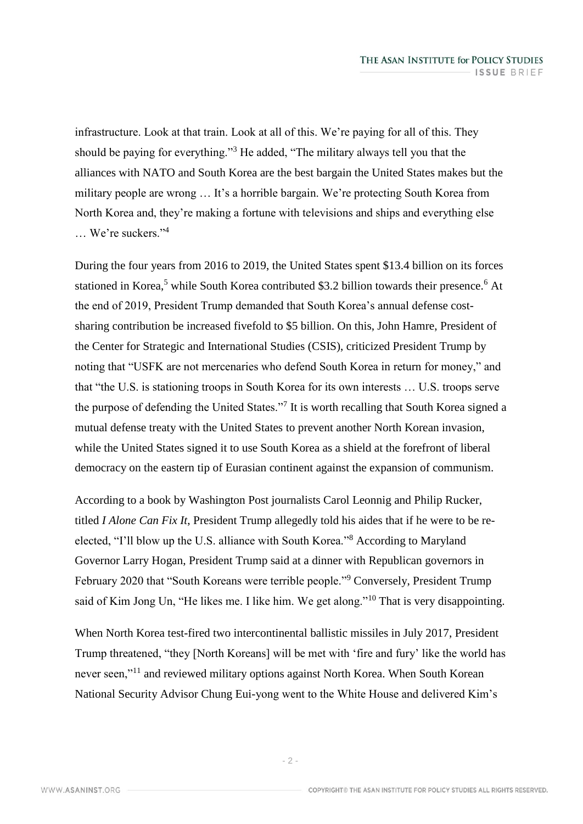infrastructure. Look at that train. Look at all of this. We're paying for all of this. They should be paying for everything."<sup>3</sup> He added, "The military always tell you that the alliances with NATO and South Korea are the best bargain the United States makes but the military people are wrong … It's a horrible bargain. We're protecting South Korea from North Korea and, they're making a fortune with televisions and ships and everything else … We're suckers."<sup>4</sup>

During the four years from 2016 to 2019, the United States spent \$13.4 billion on its forces stationed in Korea,<sup>5</sup> while South Korea contributed \$3.2 billion towards their presence.<sup>6</sup> At the end of 2019, President Trump demanded that South Korea's annual defense costsharing contribution be increased fivefold to \$5 billion. On this, John Hamre, President of the Center for Strategic and International Studies (CSIS), criticized President Trump by noting that "USFK are not mercenaries who defend South Korea in return for money," and that "the U.S. is stationing troops in South Korea for its own interests … U.S. troops serve the purpose of defending the United States."<sup>7</sup> It is worth recalling that South Korea signed a mutual defense treaty with the United States to prevent another North Korean invasion, while the United States signed it to use South Korea as a shield at the forefront of liberal democracy on the eastern tip of Eurasian continent against the expansion of communism.

According to a book by Washington Post journalists Carol Leonnig and Philip Rucker, titled *I Alone Can Fix It*, President Trump allegedly told his aides that if he were to be reelected, "I'll blow up the U.S. alliance with South Korea."<sup>8</sup> According to Maryland Governor Larry Hogan, President Trump said at a dinner with Republican governors in February 2020 that "South Koreans were terrible people."<sup>9</sup> Conversely, President Trump said of Kim Jong Un, "He likes me. I like him. We get along."<sup>10</sup> That is very disappointing.

When North Korea test-fired two intercontinental ballistic missiles in July 2017, President Trump threatened, "they [North Koreans] will be met with 'fire and fury' like the world has never seen,"<sup>11</sup> and reviewed military options against North Korea. When South Korean National Security Advisor Chung Eui-yong went to the White House and delivered Kim's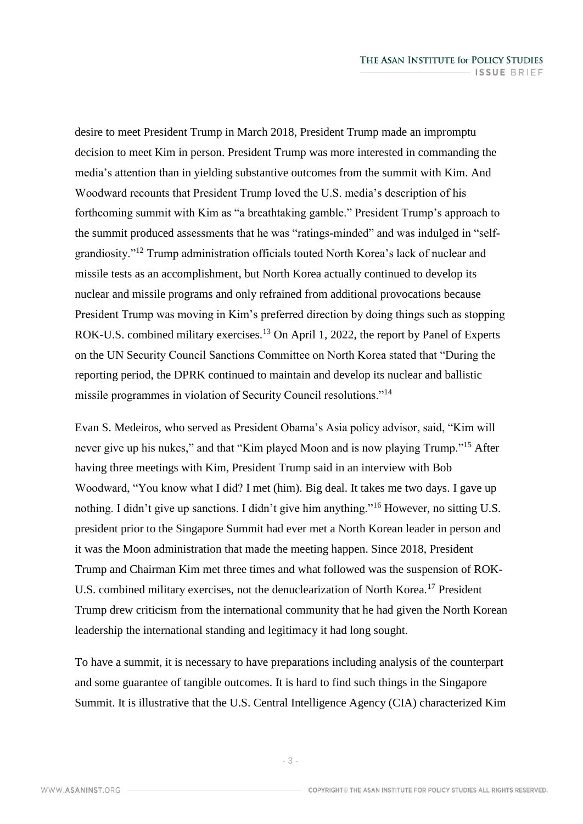desire to meet President Trump in March 2018, President Trump made an impromptu decision to meet Kim in person. President Trump was more interested in commanding the media's attention than in yielding substantive outcomes from the summit with Kim. And Woodward recounts that President Trump loved the U.S. media's description of his forthcoming summit with Kim as "a breathtaking gamble." President Trump's approach to the summit produced assessments that he was "ratings-minded" and was indulged in "selfgrandiosity."<sup>12</sup> Trump administration officials touted North Korea's lack of nuclear and missile tests as an accomplishment, but North Korea actually continued to develop its nuclear and missile programs and only refrained from additional provocations because President Trump was moving in Kim's preferred direction by doing things such as stopping ROK-U.S. combined military exercises.<sup>13</sup> On April 1, 2022, the report by Panel of Experts on the UN Security Council Sanctions Committee on North Korea stated that "During the reporting period, the DPRK continued to maintain and develop its nuclear and ballistic missile programmes in violation of Security Council resolutions."<sup>14</sup>

Evan S. Medeiros, who served as President Obama's Asia policy advisor, said, "Kim will never give up his nukes," and that "Kim played Moon and is now playing Trump."<sup>15</sup> After having three meetings with Kim, President Trump said in an interview with Bob Woodward, "You know what I did? I met (him). Big deal. It takes me two days. I gave up nothing. I didn't give up sanctions. I didn't give him anything."<sup>16</sup> However, no sitting U.S. president prior to the Singapore Summit had ever met a North Korean leader in person and it was the Moon administration that made the meeting happen. Since 2018, President Trump and Chairman Kim met three times and what followed was the suspension of ROK-U.S. combined military exercises, not the denuclearization of North Korea.<sup>17</sup> President Trump drew criticism from the international community that he had given the North Korean leadership the international standing and legitimacy it had long sought.

To have a summit, it is necessary to have preparations including analysis of the counterpart and some guarantee of tangible outcomes. It is hard to find such things in the Singapore Summit. It is illustrative that the U.S. Central Intelligence Agency (CIA) characterized Kim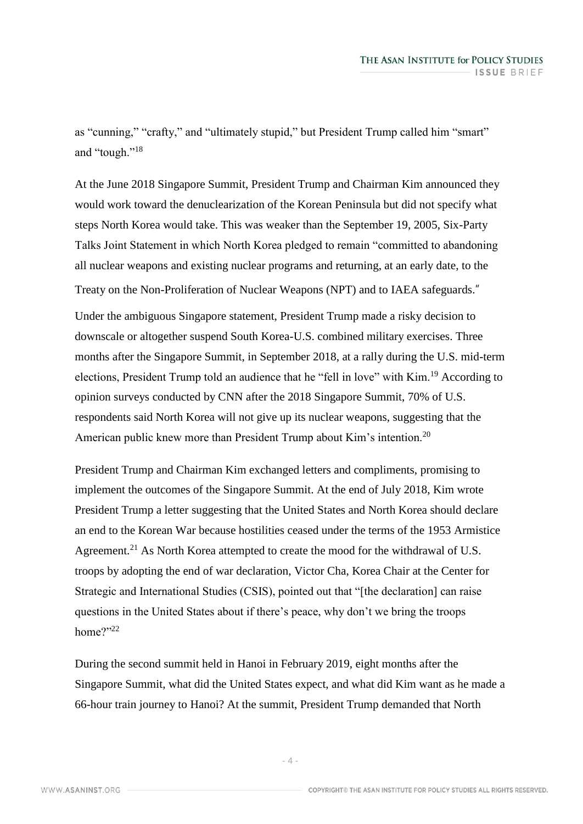as "cunning," "crafty," and "ultimately stupid," but President Trump called him "smart" and "tough."<sup>18</sup>

At the June 2018 Singapore Summit, President Trump and Chairman Kim announced they would work toward the denuclearization of the Korean Peninsula but did not specify what steps North Korea would take. This was weaker than the September 19, 2005, Six-Party Talks Joint Statement in which North Korea pledged to remain "committed to abandoning all nuclear weapons and existing nuclear programs and returning, at an early date, to the Treaty on the Non-Proliferation of Nuclear Weapons (NPT) and to IAEA safeguards."

Under the ambiguous Singapore statement, President Trump made a risky decision to downscale or altogether suspend South Korea-U.S. combined military exercises. Three months after the Singapore Summit, in September 2018, at a rally during the U.S. mid-term elections, President Trump told an audience that he "fell in love" with Kim.<sup>19</sup> According to opinion surveys conducted by CNN after the 2018 Singapore Summit, 70% of U.S. respondents said North Korea will not give up its nuclear weapons, suggesting that the American public knew more than President Trump about Kim's intention.<sup>20</sup>

President Trump and Chairman Kim exchanged letters and compliments, promising to implement the outcomes of the Singapore Summit. At the end of July 2018, Kim wrote President Trump a letter suggesting that the United States and North Korea should declare an end to the Korean War because hostilities ceased under the terms of the 1953 Armistice Agreement.<sup>21</sup> As North Korea attempted to create the mood for the withdrawal of U.S. troops by adopting the end of war declaration, Victor Cha, Korea Chair at the Center for Strategic and International Studies (CSIS), pointed out that "[the declaration] can raise questions in the United States about if there's peace, why don't we bring the troops home?"22

During the second summit held in Hanoi in February 2019, eight months after the Singapore Summit, what did the United States expect, and what did Kim want as he made a 66-hour train journey to Hanoi? At the summit, President Trump demanded that North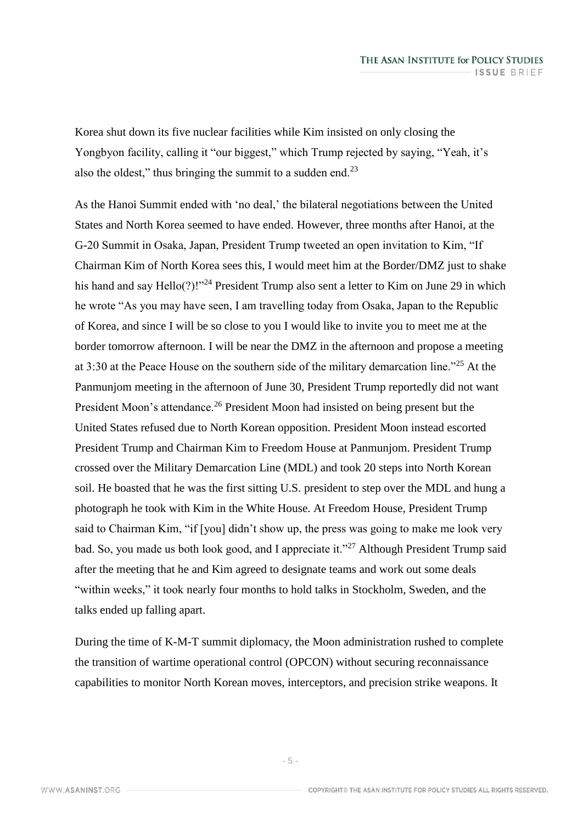Korea shut down its five nuclear facilities while Kim insisted on only closing the Yongbyon facility, calling it "our biggest," which Trump rejected by saying, "Yeah, it's also the oldest," thus bringing the summit to a sudden end.<sup>23</sup>

As the Hanoi Summit ended with 'no deal,' the bilateral negotiations between the United States and North Korea seemed to have ended. However, three months after Hanoi, at the G-20 Summit in Osaka, Japan, President Trump tweeted an open invitation to Kim, "If Chairman Kim of North Korea sees this, I would meet him at the Border/DMZ just to shake his hand and say Hello(?)!"<sup>24</sup> President Trump also sent a letter to Kim on June 29 in which he wrote "As you may have seen, I am travelling today from Osaka, Japan to the Republic of Korea, and since I will be so close to you I would like to invite you to meet me at the border tomorrow afternoon. I will be near the DMZ in the afternoon and propose a meeting at 3:30 at the Peace House on the southern side of the military demarcation line."<sup>25</sup> At the Panmunjom meeting in the afternoon of June 30, President Trump reportedly did not want President Moon's attendance.<sup>26</sup> President Moon had insisted on being present but the United States refused due to North Korean opposition. President Moon instead escorted President Trump and Chairman Kim to Freedom House at Panmunjom. President Trump crossed over the Military Demarcation Line (MDL) and took 20 steps into North Korean soil. He boasted that he was the first sitting U.S. president to step over the MDL and hung a photograph he took with Kim in the White House. At Freedom House, President Trump said to Chairman Kim, "if [you] didn't show up, the press was going to make me look very bad. So, you made us both look good, and I appreciate it."<sup>27</sup> Although President Trump said after the meeting that he and Kim agreed to designate teams and work out some deals "within weeks," it took nearly four months to hold talks in Stockholm, Sweden, and the talks ended up falling apart.

During the time of K-M-T summit diplomacy, the Moon administration rushed to complete the transition of wartime operational control (OPCON) without securing reconnaissance capabilities to monitor North Korean moves, interceptors, and precision strike weapons. It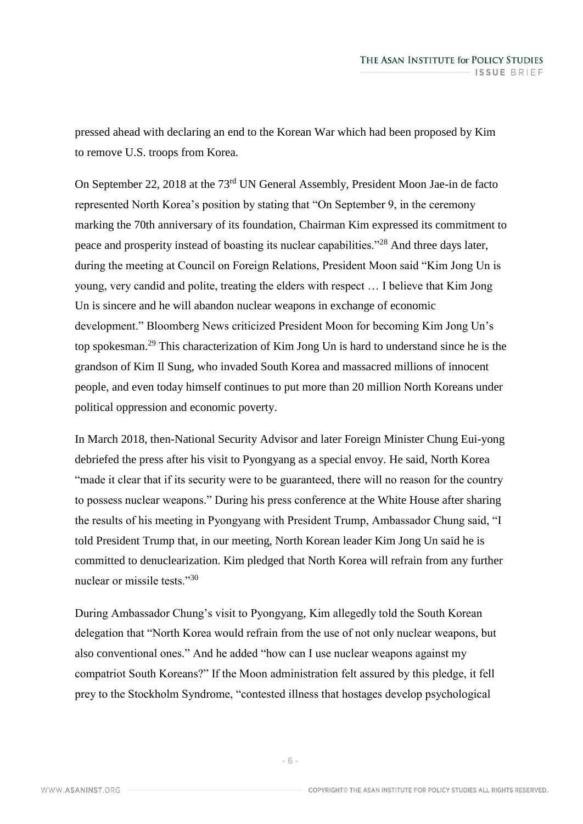pressed ahead with declaring an end to the Korean War which had been proposed by Kim to remove U.S. troops from Korea.

On September 22, 2018 at the 73rd UN General Assembly, President Moon Jae-in de facto represented North Korea's position by stating that "On September 9, in the ceremony marking the 70th anniversary of its foundation, Chairman Kim expressed its commitment to peace and prosperity instead of boasting its nuclear capabilities."<sup>28</sup> And three days later, during the meeting at Council on Foreign Relations, President Moon said "Kim Jong Un is young, very candid and polite, treating the elders with respect … I believe that Kim Jong Un is sincere and he will abandon nuclear weapons in exchange of economic development." Bloomberg News criticized President Moon for becoming Kim Jong Un's top spokesman.<sup>29</sup> This characterization of Kim Jong Un is hard to understand since he is the grandson of Kim Il Sung, who invaded South Korea and massacred millions of innocent people, and even today himself continues to put more than 20 million North Koreans under political oppression and economic poverty.

In March 2018, then-National Security Advisor and later Foreign Minister Chung Eui-yong debriefed the press after his visit to Pyongyang as a special envoy. He said, North Korea "made it clear that if its security were to be guaranteed, there will no reason for the country to possess nuclear weapons." During his press conference at the White House after sharing the results of his meeting in Pyongyang with President Trump, Ambassador Chung said, "I told President Trump that, in our meeting, North Korean leader Kim Jong Un said he is committed to denuclearization. Kim pledged that North Korea will refrain from any further nuclear or missile tests."<sup>30</sup>

During Ambassador Chung's visit to Pyongyang, Kim allegedly told the South Korean delegation that "North Korea would refrain from the use of not only nuclear weapons, but also conventional ones." And he added "how can I use nuclear weapons against my compatriot South Koreans?" If the Moon administration felt assured by this pledge, it fell prey to the Stockholm Syndrome, "contested illness that hostages develop psychological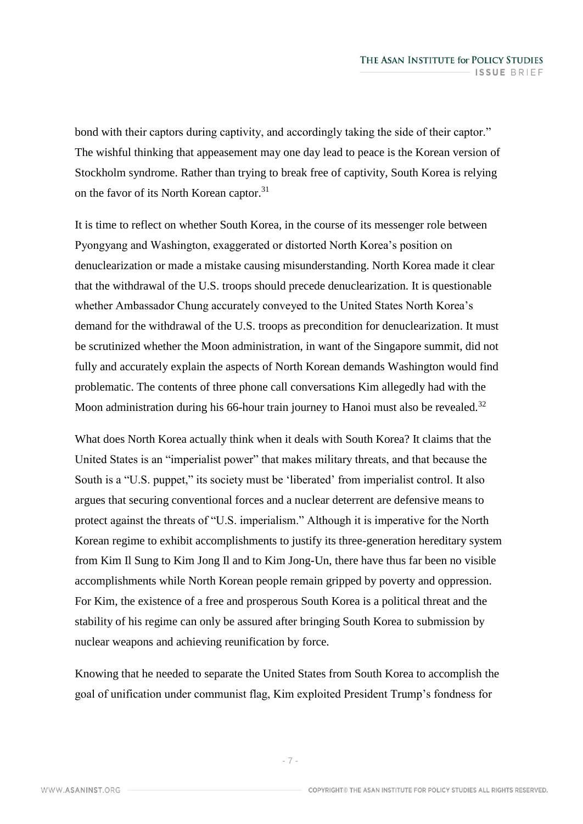bond with their captors during captivity, and accordingly taking the side of their captor." The wishful thinking that appeasement may one day lead to peace is the Korean version of Stockholm syndrome. Rather than trying to break free of captivity, South Korea is relying on the favor of its North Korean captor.<sup>31</sup>

It is time to reflect on whether South Korea, in the course of its messenger role between Pyongyang and Washington, exaggerated or distorted North Korea's position on denuclearization or made a mistake causing misunderstanding. North Korea made it clear that the withdrawal of the U.S. troops should precede denuclearization. It is questionable whether Ambassador Chung accurately conveyed to the United States North Korea's demand for the withdrawal of the U.S. troops as precondition for denuclearization. It must be scrutinized whether the Moon administration, in want of the Singapore summit, did not fully and accurately explain the aspects of North Korean demands Washington would find problematic. The contents of three phone call conversations Kim allegedly had with the Moon administration during his 66-hour train journey to Hanoi must also be revealed.<sup>32</sup>

What does North Korea actually think when it deals with South Korea? It claims that the United States is an "imperialist power" that makes military threats, and that because the South is a "U.S. puppet," its society must be 'liberated' from imperialist control. It also argues that securing conventional forces and a nuclear deterrent are defensive means to protect against the threats of "U.S. imperialism." Although it is imperative for the North Korean regime to exhibit accomplishments to justify its three-generation hereditary system from Kim Il Sung to Kim Jong Il and to Kim Jong-Un, there have thus far been no visible accomplishments while North Korean people remain gripped by poverty and oppression. For Kim, the existence of a free and prosperous South Korea is a political threat and the stability of his regime can only be assured after bringing South Korea to submission by nuclear weapons and achieving reunification by force.

Knowing that he needed to separate the United States from South Korea to accomplish the goal of unification under communist flag, Kim exploited President Trump's fondness for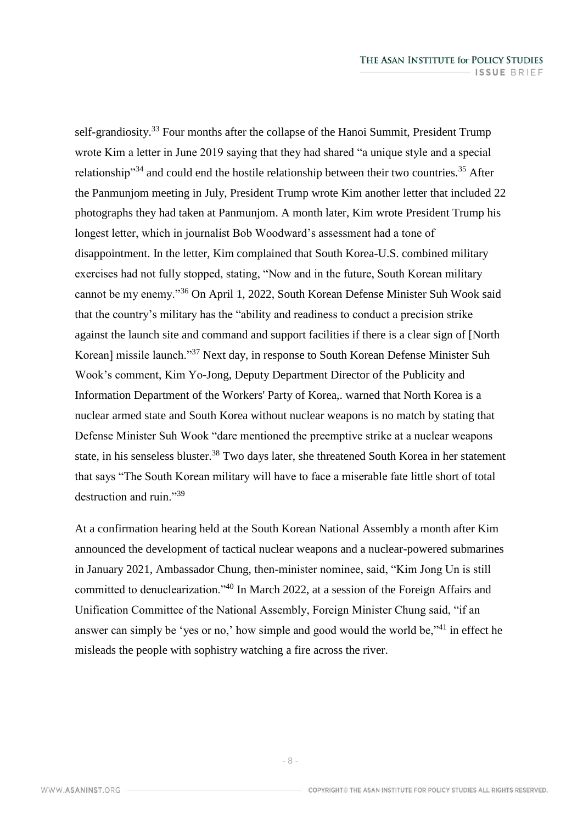self-grandiosity.<sup>33</sup> Four months after the collapse of the Hanoi Summit, President Trump wrote Kim a letter in June 2019 saying that they had shared "a unique style and a special relationship<sup>"34</sup> and could end the hostile relationship between their two countries.<sup>35</sup> After the Panmunjom meeting in July, President Trump wrote Kim another letter that included 22 photographs they had taken at Panmunjom. A month later, Kim wrote President Trump his longest letter, which in journalist Bob Woodward's assessment had a tone of disappointment. In the letter, Kim complained that South Korea-U.S. combined military exercises had not fully stopped, stating, "Now and in the future, South Korean military cannot be my enemy."<sup>36</sup> On April 1, 2022, South Korean Defense Minister Suh Wook said that the country's military has the "ability and readiness to conduct a precision strike against the launch site and command and support facilities if there is a clear sign of [North Korean] missile launch."<sup>37</sup> Next day, in response to South Korean Defense Minister Suh Wook's comment, Kim Yo-Jong, Deputy Department Director of the Publicity and Information Department of the Workers' Party of Korea,. warned that North Korea is a nuclear armed state and South Korea without nuclear weapons is no match by stating that Defense Minister Suh Wook "dare mentioned the preemptive strike at a nuclear weapons state, in his senseless bluster.<sup>38</sup> Two days later, she threatened South Korea in her statement that says "The South Korean military will have to face a miserable fate little short of total destruction and ruin."<sup>39</sup>

At a confirmation hearing held at the South Korean National Assembly a month after Kim announced the development of tactical nuclear weapons and a nuclear-powered submarines in January 2021, Ambassador Chung, then-minister nominee, said, "Kim Jong Un is still committed to denuclearization."<sup>40</sup> In March 2022, at a session of the Foreign Affairs and Unification Committee of the National Assembly, Foreign Minister Chung said, "if an answer can simply be 'yes or no,' how simple and good would the world be,"<sup>41</sup> in effect he misleads the people with sophistry watching a fire across the river.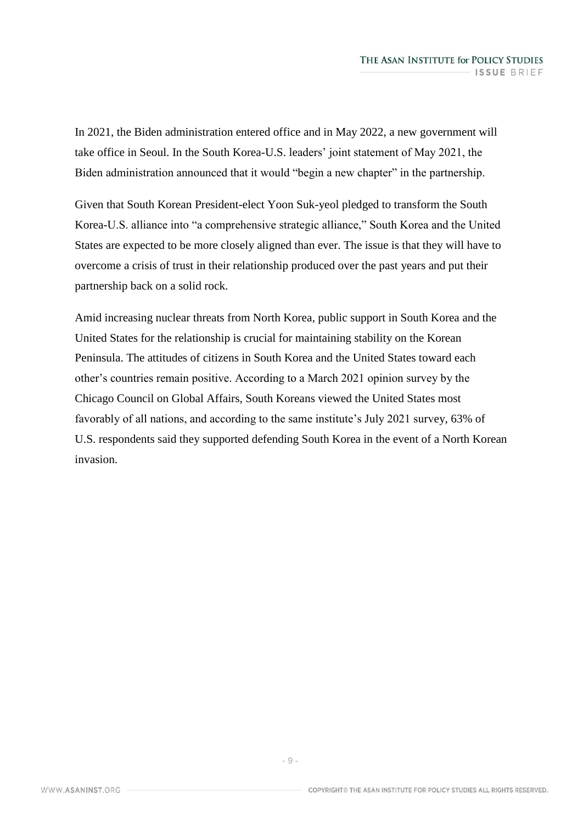In 2021, the Biden administration entered office and in May 2022, a new government will take office in Seoul. In the South Korea-U.S. leaders' joint statement of May 2021, the Biden administration announced that it would "begin a new chapter" in the partnership.

Given that South Korean President-elect Yoon Suk-yeol pledged to transform the South Korea-U.S. alliance into "a comprehensive strategic alliance," South Korea and the United States are expected to be more closely aligned than ever. The issue is that they will have to overcome a crisis of trust in their relationship produced over the past years and put their partnership back on a solid rock.

Amid increasing nuclear threats from North Korea, public support in South Korea and the United States for the relationship is crucial for maintaining stability on the Korean Peninsula. The attitudes of citizens in South Korea and the United States toward each other's countries remain positive. According to a March 2021 opinion survey by the Chicago Council on Global Affairs, South Koreans viewed the United States most favorably of all nations, and according to the same institute's July 2021 survey, 63% of U.S. respondents said they supported defending South Korea in the event of a North Korean invasion.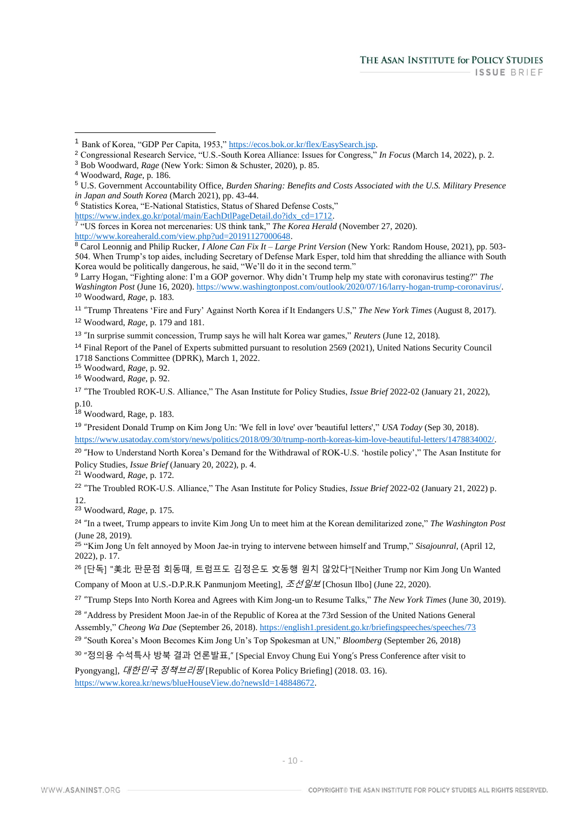$\overline{a}$ 

<sup>6</sup> Statistics Korea, "E-National Statistics, Status of Shared Defense Costs,"

[https://www.index.go.kr/potal/main/EachDtlPageDetail.do?idx\\_cd=1712.](https://www.index.go.kr/potal/main/EachDtlPageDetail.do?idx_cd=1712)

11 "Trump Threatens 'Fire and Fury' Against North Korea if It Endangers U.S," *The New York Times* (August 8, 2017).

<sup>12</sup> Woodward, *Rage*, p. 179 and 181.

13 "In surprise summit concession, Trump says he will halt Korea war games," *Reuters* (June 12, 2018).

<sup>14</sup> Final Report of the Panel of Experts submitted pursuant to resolution 2569 (2021), United Nations Security Council 1718 Sanctions Committee (DPRK), March 1, 2022.

<sup>15</sup> Woodward, *Rage*, p. 92.

<sup>16</sup> Woodward, *Rage*, p. 92.

17 "The Troubled ROK-U.S. Alliance," The Asan Institute for Policy Studies, *Issue Brief* 2022-02 (January 21, 2022), p.10.

<sup>18</sup> Woodward, Rage, p. 183.

19 "President Donald Trump on Kim Jong Un: 'We fell in love' over 'beautiful letters'," *USA Today* (Sep 30, 2018). [https://www.usatoday.com/story/news/politics/2018/09/30/trump-north-koreas-kim-love-beautiful-letters/1478834002/.](https://www.usatoday.com/story/news/politics/2018/09/30/trump-north-koreas-kim-love-beautiful-letters/1478834002/)

<sup>20</sup> "How to Understand North Korea's Demand for the Withdrawal of ROK-U.S. 'hostile policy'," The Asan Institute for Policy Studies, *Issue Brief* (January 20, 2022), p. 4.

<sup>21</sup> Woodward, *Rage*, p. 172.

22 "The Troubled ROK-U.S. Alliance," The Asan Institute for Policy Studies, *Issue Brief* 2022-02 (January 21, 2022) p. 12.

<sup>23</sup> Woodward, *Rage*, p. 175.

24 "In a tweet, Trump appears to invite Kim Jong Un to meet him at the Korean demilitarized zone," *The Washington Post* (June 28, 2019).

<sup>25</sup> "Kim Jong Un felt annoyed by Moon Jae-in trying to intervene between himself and Trump," *Sisajounral*, (April 12, 2022), p. 17.

<sup>26</sup> [단독] "美北 판문점 회동때, 트럼프도 김정은도 文동행 원치 않았다"[Neither Trump nor Kim Jong Un Wanted Company of Moon at U.S.-D.P.R.K Panmunjom Meeting],  $\mathcal{Z}\cancel{\cup} \mathcal{Q} \not\equiv$  [Chosun Ilbo] (June 22, 2020).

27 "Trump Steps Into North Korea and Agrees with Kim Jong-un to Resume Talks," *The New York Times* (June 30, 2019).

<sup>28</sup> "Address by President Moon Jae-in of the Republic of Korea at the 73rd Session of the United Nations General Assembly," *Cheong Wa Dae* (September 26, 2018)[. https://english1.president.go.kr/briefingspeeches/speeches/73](https://english1.president.go.kr/briefingspeeches/speeches/73)

29 "South Korea's Moon Becomes Kim Jong Un's Top Spokesman at UN," *Bloomberg* (September 26, 2018)

<sup>30</sup> "정의용 수석특사 방북 결과 언론발표," [Special Envoy Chung Eui Yong's Press Conference after visit to

Pyongyang], 대한민국 정책브리핑 [Republic of Korea Policy Briefing] (2018. 03. 16).

[https://www.korea.kr/news/blueHouseView.do?newsId=148848672.](https://www.korea.kr/news/blueHouseView.do?newsId=148848672)

<sup>1</sup> Bank of Korea, "GDP Per Capita, 1953," [https://ecos.bok.or.kr/flex/EasySearch.jsp.](https://ecos.bok.or.kr/flex/EasySearch.jsp)

<sup>2</sup> Congressional Research Service, "U.S.-South Korea Alliance: Issues for Congress," *In Focus* (March 14, 2022), p. 2.

<sup>3</sup> Bob Woodward, *Rage* (New York: Simon & Schuster, 2020), p. 85.

<sup>4</sup> Woodward, *Rage*, p. 186.

<sup>5</sup> U.S. Government Accountability Office, *Burden Sharing: Benefits and Costs Associated with the U.S. Military Presence in Japan and South Korea* (March 2021), pp. 43-44.

<sup>7</sup> "US forces in Korea not mercenaries: US think tank," *The Korea Herald* (November 27, 2020). [http://www.koreaherald.com/view.php?ud=20191127000648.](http://www.koreaherald.com/view.php?ud=20191127000648)

<sup>8</sup> Carol Leonnig and Philip Rucker, *I Alone Can Fix It – Large Print Version* (New York: Random House, 2021), pp. 503- 504. When Trump's top aides, including Secretary of Defense Mark Esper, told him that shredding the alliance with South Korea would be politically dangerous, he said, "We'll do it in the second term."

<sup>9</sup> Larry Hogan, "Fighting alone: I'm a GOP governor. Why didn't Trump help my state with coronavirus testing?" *The Washington Post* (June 16, 2020). [https://www.washingtonpost.com/outlook/2020/07/16/larry-hogan-trump-coronavirus/.](https://www.washingtonpost.com/outlook/2020/07/16/larry-hogan-trump-coronavirus/) <sup>10</sup> Woodward, *Rage*, p. 183.